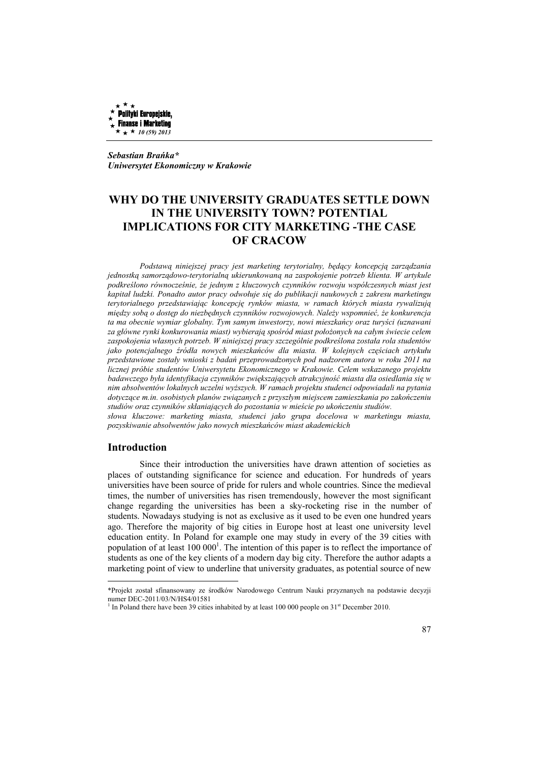

*Sebastian Brańka\* Uniwersytet Ekonomiczny w Krakowie* 

# **WHY DO THE UNIVERSITY GRADUATES SETTLE DOWN IN THE UNIVERSITY TOWN? POTENTIAL IMPLICATIONS FOR CITY MARKETING -THE CASE OF CRACOW**

*Podstawą niniejszej pracy jest marketing terytorialny, będący koncepcją zarządzania jednostką samorządowo-terytorialną ukierunkowaną na zaspokojenie potrzeb klienta. W artykule podkreślono równocześnie, że jednym z kluczowych czynników rozwoju współczesnych miast jest kapitał ludzki. Ponadto autor pracy odwołuje się do publikacji naukowych z zakresu marketingu terytorialnego przedstawiając koncepcję rynków miasta, w ramach których miasta rywalizują między sobą o dostęp do niezbędnych czynników rozwojowych. Należy wspomnieć, że konkurencja ta ma obecnie wymiar globalny. Tym samym inwestorzy, nowi mieszkańcy oraz turyści (uznawani za główne rynki konkurowania miast) wybierają spośród miast położonych na całym świecie celem zaspokojenia własnych potrzeb. W niniejszej pracy szczególnie podkreślona została rola studentów jako potencjalnego źródła nowych mieszkańców dla miasta. W kolejnych częściach artykułu przedstawione zostały wnioski z badań przeprowadzonych pod nadzorem autora w roku 2011 na licznej próbie studentów Uniwersytetu Ekonomicznego w Krakowie. Celem wskazanego projektu badawczego była identyfikacja czynników zwiększających atrakcyjność miasta dla osiedlania się w nim absolwentów lokalnych uczelni wyższych. W ramach projektu studenci odpowiadali na pytania dotyczące m.in. osobistych planów związanych z przyszłym miejscem zamieszkania po zakończeniu studiów oraz czynników skłaniających do pozostania w mieście po ukończeniu studiów. słowa kluczowe: marketing miasta, studenci jako grupa docelowa w marketingu miasta,* 

*pozyskiwanie absolwentów jako nowych mieszkańców miast akademickich*

#### **Introduction**

 $\overline{a}$ 

Since their introduction the universities have drawn attention of societies as places of outstanding significance for science and education. For hundreds of years universities have been source of pride for rulers and whole countries. Since the medieval times, the number of universities has risen tremendously, however the most significant change regarding the universities has been a sky-rocketing rise in the number of students. Nowadays studying is not as exclusive as it used to be even one hundred years ago. Therefore the majority of big cities in Europe host at least one university level education entity. In Poland for example one may study in every of the 39 cities with population of at least  $100 000<sup>1</sup>$ . The intention of this paper is to reflect the importance of students as one of the key clients of a modern day big city. Therefore the author adapts a marketing point of view to underline that university graduates, as potential source of new

<sup>\*</sup>Projekt został sfinansowany ze środków Narodowego Centrum Nauki przyznanych na podstawie decyzji numer DEC-2011/03/N/HS4/01581

<sup>&</sup>lt;sup>1</sup> In Poland there have been 39 cities inhabited by at least 100 000 people on  $31<sup>st</sup>$  December 2010.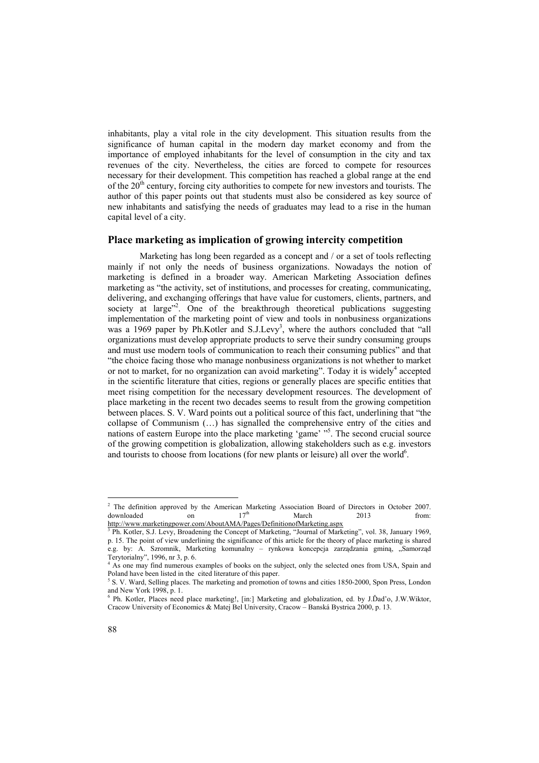inhabitants, play a vital role in the city development. This situation results from the significance of human capital in the modern day market economy and from the importance of employed inhabitants for the level of consumption in the city and tax revenues of the city. Nevertheless, the cities are forced to compete for resources necessary for their development. This competition has reached a global range at the end of the  $20<sup>th</sup>$  century, forcing city authorities to compete for new investors and tourists. The author of this paper points out that students must also be considered as key source of new inhabitants and satisfying the needs of graduates may lead to a rise in the human capital level of a city.

## **Place marketing as implication of growing intercity competition**

Marketing has long been regarded as a concept and / or a set of tools reflecting mainly if not only the needs of business organizations. Nowadays the notion of marketing is defined in a broader way. American Marketing Association defines marketing as "the activity, set of institutions, and processes for creating, communicating, delivering, and exchanging offerings that have value for customers, clients, partners, and society at large"<sup>2</sup>. One of the breakthrough theoretical publications suggesting implementation of the marketing point of view and tools in nonbusiness organizations was a 1969 paper by Ph.Kotler and S.J.Levy<sup>3</sup>, where the authors concluded that "all organizations must develop appropriate products to serve their sundry consuming groups and must use modern tools of communication to reach their consuming publics" and that "the choice facing those who manage nonbusiness organizations is not whether to market or not to market, for no organization can avoid marketing". Today it is widely<sup>4</sup> accepted in the scientific literature that cities, regions or generally places are specific entities that meet rising competition for the necessary development resources. The development of place marketing in the recent two decades seems to result from the growing competition between places. S. V. Ward points out a political source of this fact, underlining that "the collapse of Communism (…) has signalled the comprehensive entry of the cities and nations of eastern Europe into the place marketing 'game' "<sup>5</sup> . The second crucial source of the growing competition is globalization, allowing stakeholders such as e.g. investors and tourists to choose from locations (for new plants or leisure) all over the world $6$ .

 2 The definition approved by the American Marketing Association Board of Directors in October 2007. downloaded on 17<sup>th</sup> March 2013 from:

http://www.marketingpower.com/AboutAMA/Pages/DefinitionofMarketing.aspx

<sup>3</sup> Ph. Kotler, S.J. Levy, Broadening the Concept of Marketing, "Journal of Marketing", vol. 38, January 1969, p. 15. The point of view underlining the significance of this article for the theory of place marketing is shared e.g. by: A. Szromnik, Marketing komunalny – rynkowa koncepcja zarządzania gminą, "Samorząd Terytorialny", 1996, nr 3, p. 6.<br> $\frac{4}{3}$  As one may find numerous a

As one may find numerous examples of books on the subject, only the selected ones from USA, Spain and Poland have been listed in the cited literature of this paper.

<sup>&</sup>lt;sup>5</sup> S. V. Ward, Selling places. The marketing and promotion of towns and cities 1850-2000, Spon Press, London and New York 1998, p. 1.

<sup>6</sup> Ph. Kotler, Places need place marketing!, [in:] Marketing and globalization, ed. by J.Ďad'o, J.W.Wiktor, Cracow University of Economics & Matej Bel University, Cracow – Banská Bystrica 2000, p. 13.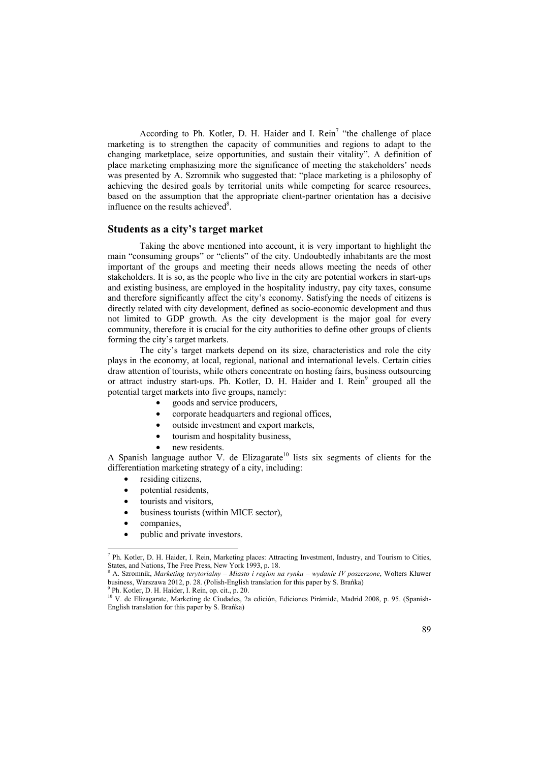According to Ph. Kotler, D. H. Haider and I. Rein<sup>7</sup> "the challenge of place marketing is to strengthen the capacity of communities and regions to adapt to the changing marketplace, seize opportunities, and sustain their vitality". A definition of place marketing emphasizing more the significance of meeting the stakeholders' needs was presented by A. Szromnik who suggested that: "place marketing is a philosophy of achieving the desired goals by territorial units while competing for scarce resources, based on the assumption that the appropriate client-partner orientation has a decisive influence on the results achieved<sup>8</sup>.

## **Students as a city's target market**

Taking the above mentioned into account, it is very important to highlight the main "consuming groups" or "clients" of the city. Undoubtedly inhabitants are the most important of the groups and meeting their needs allows meeting the needs of other stakeholders. It is so, as the people who live in the city are potential workers in start-ups and existing business, are employed in the hospitality industry, pay city taxes, consume and therefore significantly affect the city's economy. Satisfying the needs of citizens is directly related with city development, defined as socio-economic development and thus not limited to GDP growth. As the city development is the major goal for every community, therefore it is crucial for the city authorities to define other groups of clients forming the city's target markets.

The city's target markets depend on its size, characteristics and role the city plays in the economy, at local, regional, national and international levels. Certain cities draw attention of tourists, while others concentrate on hosting fairs, business outsourcing or attract industry start-ups. Ph. Kotler, D. H. Haider and I. Rein<sup>9</sup> grouped all the potential target markets into five groups, namely:

- goods and service producers,
- corporate headquarters and regional offices,
- outside investment and export markets,
- tourism and hospitality business,
- new residents.

A Spanish language author V. de Elizagarate<sup>10</sup> lists six segments of clients for the differentiation marketing strategy of a city, including:

- residing citizens,
- potential residents,
- tourists and visitors,
- business tourists (within MICE sector),
- companies.

 $\overline{a}$ 

• public and private investors.

<sup>7</sup> Ph. Kotler, D. H. Haider, I. Rein, Marketing places: Attracting Investment, Industry, and Tourism to Cities, States, and Nations, The Free Press, New York 1993, p. 18. 8 A. Szromnik, *Marketing terytorialny – Miasto i region na rynku – wydanie IV poszerzone*, Wolters Kluwer

business, Warszawa 2012, p. 28. (Polish-English translation for this paper by S. Brańka)

<sup>9</sup> Ph. Kotler, D. H. Haider, I. Rein, op. cit., p. 20.

<sup>10</sup> V. de Elizagarate, Marketing de Ciudades, 2a edición, Ediciones Pirámide, Madrid 2008, p. 95. (Spanish-English translation for this paper by S. Brańka)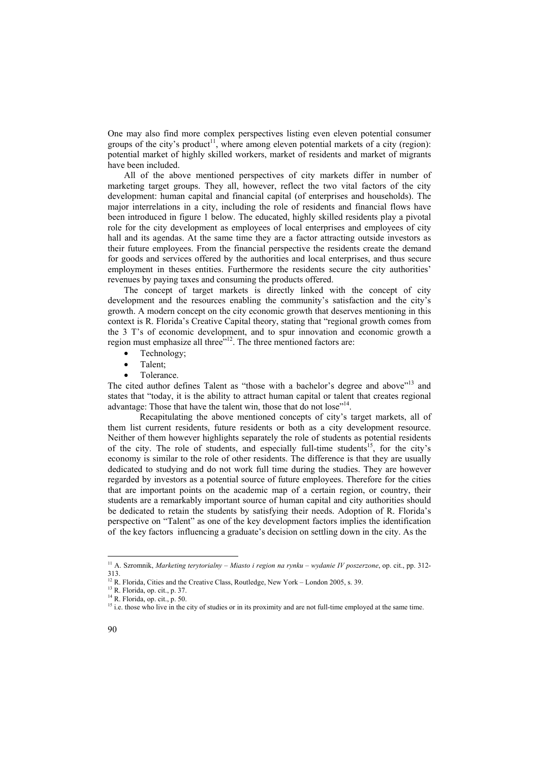One may also find more complex perspectives listing even eleven potential consumer groups of the city's product<sup>11</sup>, where among eleven potential markets of a city (region): potential market of highly skilled workers, market of residents and market of migrants have been included.

All of the above mentioned perspectives of city markets differ in number of marketing target groups. They all, however, reflect the two vital factors of the city development: human capital and financial capital (of enterprises and households). The major interrelations in a city, including the role of residents and financial flows have been introduced in figure 1 below. The educated, highly skilled residents play a pivotal role for the city development as employees of local enterprises and employees of city hall and its agendas. At the same time they are a factor attracting outside investors as their future employees. From the financial perspective the residents create the demand for goods and services offered by the authorities and local enterprises, and thus secure employment in theses entities. Furthermore the residents secure the city authorities' revenues by paying taxes and consuming the products offered.

The concept of target markets is directly linked with the concept of city development and the resources enabling the community's satisfaction and the city's growth. A modern concept on the city economic growth that deserves mentioning in this context is R. Florida's Creative Capital theory, stating that "regional growth comes from the 3 T's of economic development, and to spur innovation and economic growth a region must emphasize all three<sup>"12</sup>. The three mentioned factors are:

- Technology:
- Talent<sup>-</sup>
- Tolerance.

The cited author defines Talent as "those with a bachelor's degree and above"<sup>13</sup> and states that "today, it is the ability to attract human capital or talent that creates regional advantage: Those that have the talent win, those that do not lose"<sup>14</sup>.

Recapitulating the above mentioned concepts of city's target markets, all of them list current residents, future residents or both as a city development resource. Neither of them however highlights separately the role of students as potential residents of the city. The role of students, and especially full-time students<sup>15</sup>, for the city's economy is similar to the role of other residents. The difference is that they are usually dedicated to studying and do not work full time during the studies. They are however regarded by investors as a potential source of future employees. Therefore for the cities that are important points on the academic map of a certain region, or country, their students are a remarkably important source of human capital and city authorities should be dedicated to retain the students by satisfying their needs. Adoption of R. Florida's perspective on "Talent" as one of the key development factors implies the identification of the key factors influencing a graduate's decision on settling down in the city. As the

<sup>11</sup> A. Szromnik, *Marketing terytorialny – Miasto i region na rynku – wydanie IV poszerzone*, op. cit., pp. 312- 313.

 $12$  R. Florida, Cities and the Creative Class, Routledge, New York – London 2005, s. 39.

<sup>13</sup> R. Florida, op. cit., p. 37.

<sup>14</sup> R. Florida, op. cit., p. 50.

<sup>&</sup>lt;sup>15</sup> i.e. those who live in the city of studies or in its proximity and are not full-time employed at the same time.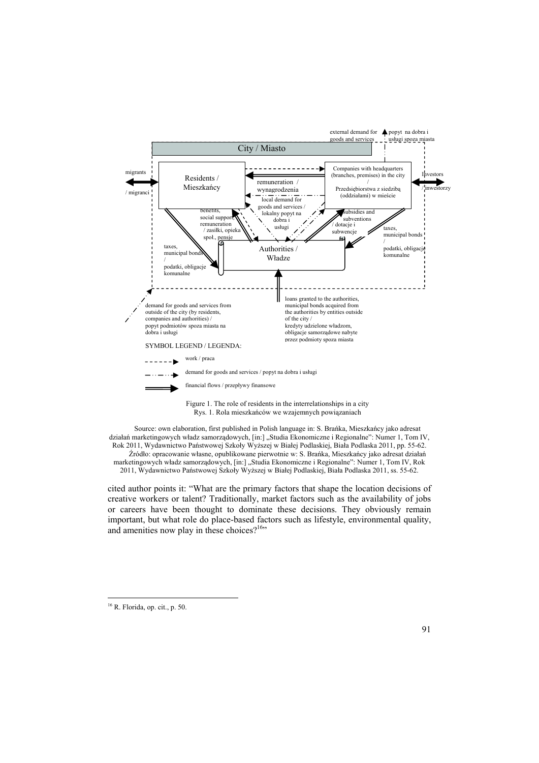

Source: own elaboration, first published in Polish language in: S. Brańka, Mieszkańcy jako adresat działań marketingowych władz samorządowych, [in:] "Studia Ekonomiczne i Regionalne": Numer 1, Tom IV, Rok 2011, Wydawnictwo Państwowej Szkoły Wyższej w Białej Podlaskiej, Biała Podlaska 2011, pp. 55-62. Źródło: opracowanie własne, opublikowane pierwotnie w: S. Brańka, Mieszkańcy jako adresat działań marketingowych władz samorządowych, [in:] "Studia Ekonomiczne i Regionalne": Numer 1, Tom IV, Rok 2011, Wydawnictwo Państwowej Szkoły Wyższej w Białej Podlaskiej, Biała Podlaska 2011, ss. 55-62.

cited author points it: "What are the primary factors that shape the location decisions of creative workers or talent? Traditionally, market factors such as the availability of jobs or careers have been thought to dominate these decisions. They obviously remain important, but what role do place-based factors such as lifestyle, environmental quality, and amenities now play in these choices? $16$ "

<sup>16</sup> R. Florida, op. cit., p. 50.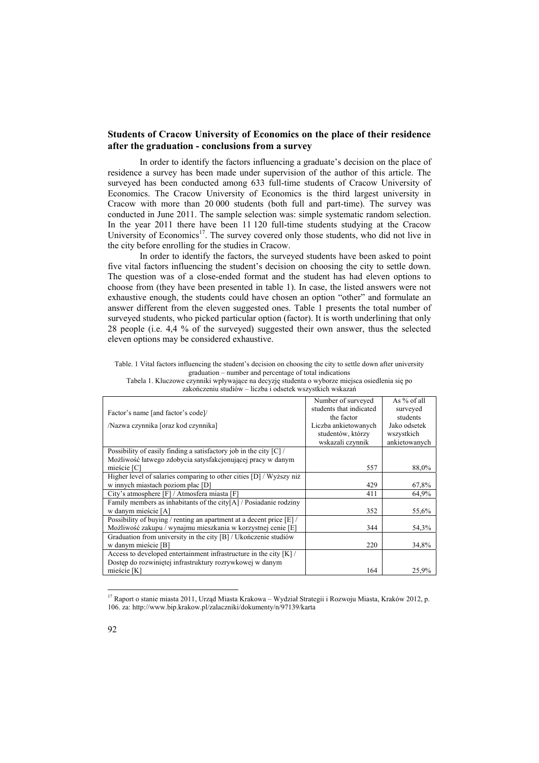## **Students of Cracow University of Economics on the place of their residence after the graduation - conclusions from a survey**

In order to identify the factors influencing a graduate's decision on the place of residence a survey has been made under supervision of the author of this article. The surveyed has been conducted among 633 full-time students of Cracow University of Economics. The Cracow University of Economics is the third largest university in Cracow with more than 20 000 students (both full and part-time). The survey was conducted in June 2011. The sample selection was: simple systematic random selection. In the year 2011 there have been 11 120 full-time students studying at the Cracow University of Economics<sup>17</sup>. The survey covered only those students, who did not live in the city before enrolling for the studies in Cracow.

 In order to identify the factors, the surveyed students have been asked to point five vital factors influencing the student's decision on choosing the city to settle down. The question was of a close-ended format and the student has had eleven options to choose from (they have been presented in table 1). In case, the listed answers were not exhaustive enough, the students could have chosen an option "other" and formulate an answer different from the eleven suggested ones. Table 1 presents the total number of surveyed students, who picked particular option (factor). It is worth underlining that only 28 people (i.e. 4,4 % of the surveyed) suggested their own answer, thus the selected eleven options may be considered exhaustive.

| Table. 1 Vital factors influencing the student's decision on choosing the city to settle down after university |
|----------------------------------------------------------------------------------------------------------------|
| eraduation – number and percentage of total indications                                                        |
| Tabela 1. Kluczowe czynniki wpływające na decyzję studenta o wyborze miejsca osiedlenia się po                 |

| Factor's name [and factor's code]/                                   | Number of surveyed<br>students that indicated<br>the factor | As % of all<br>surveyed<br>students |
|----------------------------------------------------------------------|-------------------------------------------------------------|-------------------------------------|
| /Nazwa czynnika [oraz kod czynnika]                                  | Liczba ankietowanych                                        | Jako odsetek                        |
|                                                                      | studentów, którzy                                           | wszystkich                          |
|                                                                      | wskazali czynnik                                            | ankietowanych                       |
| Possibility of easily finding a satisfactory job in the city $ C $ / |                                                             |                                     |
| Możliwość łatwego zdobycia satysfakcjonującej pracy w danym          |                                                             |                                     |
| mieście [C]                                                          | 557                                                         | 88,0%                               |
| Higher level of salaries comparing to other cities [D] / Wyższy niż  |                                                             |                                     |
| w innych miastach poziom płac [D]                                    | 429                                                         | 67,8%                               |
| City's atmosphere [F] / Atmosfera miasta [F]                         | 411                                                         | 64,9%                               |
| Family members as inhabitants of the city[A] / Posiadanie rodziny    |                                                             |                                     |
| w danym mieście [A]                                                  | 352                                                         | 55,6%                               |
| Possibility of buying / renting an apartment at a decent price [E] / |                                                             |                                     |
| Możliwość zakupu / wynajmu mieszkania w korzystnej cenie [E]         | 344                                                         | 54,3%                               |
| Graduation from university in the city [B] / Ukończenie studiów      |                                                             |                                     |
| w danym mieście [B]                                                  | 220                                                         | 34,8%                               |
| Access to developed entertainment infrastructure in the city $[K]/$  |                                                             |                                     |
| Dostęp do rozwiniętej infrastruktury rozrywkowej w danym             |                                                             |                                     |
| mieście [K]                                                          | 164                                                         | 25,9%                               |

zakończeniu studiów – liczba i odsetek wszystkich wskazań

<sup>&</sup>lt;sup>17</sup> Raport o stanie miasta 2011, Urząd Miasta Krakowa – Wydział Strategii i Rozwoju Miasta, Kraków 2012, p. 106. za: http://www.bip.krakow.pl/zalaczniki/dokumenty/n/97139/karta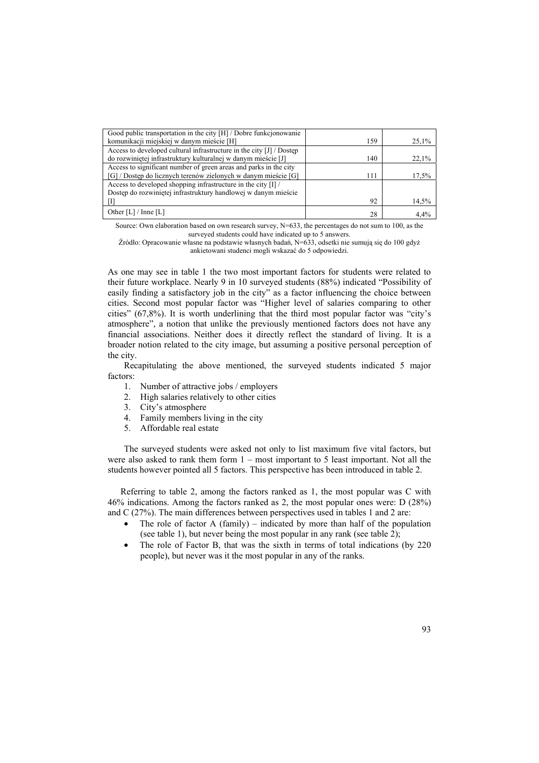| Good public transportation in the city [H] / Dobre funkcjonowanie    |     |       |
|----------------------------------------------------------------------|-----|-------|
| komunikacji miejskiej w danym mieście [H]                            | 159 | 25,1% |
| Access to developed cultural infrastructure in the city [J] / Dostep |     |       |
| do rozwiniętej infrastruktury kulturalnej w danym mieście [J]        | 140 | 22.1% |
| Access to significant number of green areas and parks in the city    |     |       |
| [G] / Dostęp do licznych terenów zielonych w danym mieście [G]       | 111 | 17,5% |
| Access to developed shopping infrastructure in the city [I] /        |     |       |
| Dostęp do rozwiniętej infrastruktury handlowej w danym mieście       |     |       |
|                                                                      | 92  | 14,5% |
| Other $[L] /$ Inne $[L]$                                             | 28  | 4.4%  |

Source: Own elaboration based on own research survey, N=633, the percentages do not sum to 100, as the surveyed students could have indicated up to 5 answers.

Źródło: Opracowanie własne na podstawie własnych badań, N=633, odsetki nie sumują się do 100 gdyż ankietowani studenci mogli wskazać do 5 odpowiedzi.

As one may see in table 1 the two most important factors for students were related to their future workplace. Nearly 9 in 10 surveyed students (88%) indicated "Possibility of easily finding a satisfactory job in the city" as a factor influencing the choice between cities. Second most popular factor was "Higher level of salaries comparing to other cities" (67,8%). It is worth underlining that the third most popular factor was "city's atmosphere", a notion that unlike the previously mentioned factors does not have any financial associations. Neither does it directly reflect the standard of living. It is a broader notion related to the city image, but assuming a positive personal perception of the city.

Recapitulating the above mentioned, the surveyed students indicated 5 major factors:

- 1. Number of attractive jobs / employers
- 2. High salaries relatively to other cities
- 3. City's atmosphere
- 4. Family members living in the city
- 5. Affordable real estate

The surveyed students were asked not only to list maximum five vital factors, but were also asked to rank them form 1 – most important to 5 least important. Not all the students however pointed all 5 factors. This perspective has been introduced in table 2.

Referring to table 2, among the factors ranked as 1, the most popular was C with 46% indications. Among the factors ranked as 2, the most popular ones were: D (28%) and C (27%). The main differences between perspectives used in tables 1 and 2 are:

- The role of factor A (family) indicated by more than half of the population (see table 1), but never being the most popular in any rank (see table 2);
- The role of Factor B, that was the sixth in terms of total indications (by 220) people), but never was it the most popular in any of the ranks.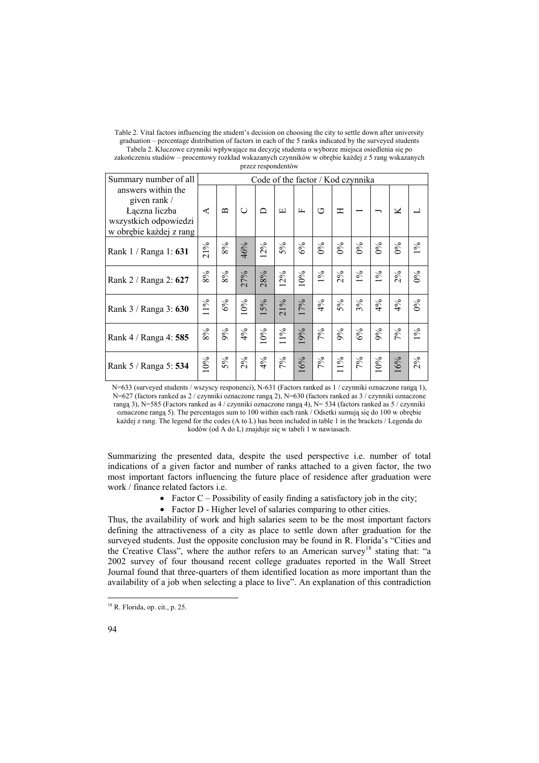| Table 2. Vital factors influencing the student's decision on choosing the city to settle down after university |
|----------------------------------------------------------------------------------------------------------------|
| graduation – percentage distribution of factors in each of the 5 ranks indicated by the surveyed students      |
| Tabela 2. Kluczowe czynniki wpływające na decyzję studenta o wyborze miejsca osiedlenia się po                 |
|                                                                                                                |

| zakończeniu studiów – procentowy rozkład wskazanych czynników w obrębie każdej z 5 rang wskazanych |                    |  |  |
|----------------------------------------------------------------------------------------------------|--------------------|--|--|
|                                                                                                    | przez respondentów |  |  |

| Summary number of all                                                                                   |        | Code of the factor / Kod czynnika |        |       |                                  |              |       |                  |       |       |            |       |
|---------------------------------------------------------------------------------------------------------|--------|-----------------------------------|--------|-------|----------------------------------|--------------|-------|------------------|-------|-------|------------|-------|
| answers within the<br>given rank /<br>Łączna liczba<br>wszystkich odpowiedzi<br>w obrębie każdej z rang | ⋖      | $\mathbf{\underline{\mathsf{m}}}$ | $\cup$ | ≏     | $\boxed{\underline{\mathbf{L}}}$ | $\mathbf{r}$ | G     | Η                |       | ∽     | K          |       |
| Rank 1 / Ranga 1: 631                                                                                   | $21\%$ | 8%                                | 46%    | 12%   | 5%                               | 6%           | $0\%$ | $\delta^{\circ}$ | $0\%$ | $0\%$ | $0\%$      | $1\%$ |
| Rank 2 / Ranga 2: 627                                                                                   | 8%     | $8\%$                             | 27%    | 28%   | 12%                              | 10%          | $1\%$ | 2%               | $1\%$ | $1\%$ | 2%         | $0\%$ |
| Rank 3 / Ranga 3: 630                                                                                   | $11\%$ | $6\%$                             | 0%     | 5%    | 21%                              | 17%          | 4%    | 5%               | 3%    | 4%    | 4%         | 0%    |
| Rank 4 / Ranga 4: 585                                                                                   | $8\%$  | 9%                                | $4\%$  | $0\%$ | $11\%$                           | 19%          | $7\%$ | $9\%$            | $6\%$ | $9\%$ | $\sqrt{6}$ | $1\%$ |
| Rank 5 / Ranga 5: 534                                                                                   | $10\%$ | 5%                                | 2%     | 4%    | 7%                               | 16%          | 7%    | $11\%$           | 7%    | $0\%$ | 16%        | $2\%$ |

N=633 (surveyed students / wszyscy responenci), N-631 (Factors ranked as  $1/$  czynniki oznaczone rangą 1), N=627 (factors ranked as 2 / czynniki oznaczone rangą 2), N=630 (factors ranked as 3 / czynniki oznaczone rangą 3), N=585 (Factors ranked as 4 / czynniki oznaczone rangą 4), N= 534 (factors ranked as 5 / czynniki oznaczone rangą 5). The percentages sum to 100 within each rank / Odsetki sumują się do 100 w obrębie każdej z rang. The legend for the codes (A to L) has been included in table 1 in the brackets / Legenda do kodów (od A do L) znajduje się w tabeli 1 w nawiasach.

Summarizing the presented data, despite the used perspective i.e. number of total indications of a given factor and number of ranks attached to a given factor, the two most important factors influencing the future place of residence after graduation were work / finance related factors i.e.

- Factor  $C$  Possibility of easily finding a satisfactory job in the city;
- Factor D Higher level of salaries comparing to other cities.

Thus, the availability of work and high salaries seem to be the most important factors defining the attractiveness of a city as place to settle down after graduation for the surveyed students. Just the opposite conclusion may be found in R. Florida's "Cities and the Creative Class", where the author refers to an American survey<sup>18</sup> stating that: "a 2002 survey of four thousand recent college graduates reported in the Wall Street Journal found that three-quarters of them identified location as more important than the availability of a job when selecting a place to live". An explanation of this contradiction

<sup>18</sup> R. Florida, op. cit., p. 25.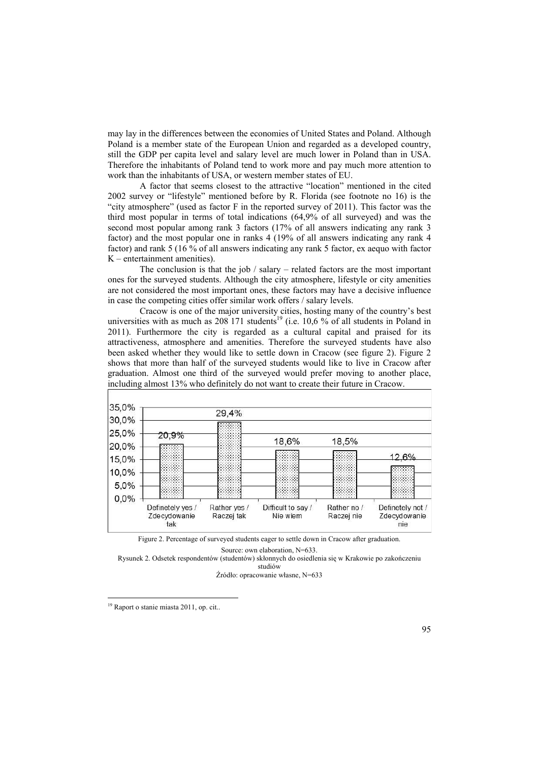may lay in the differences between the economies of United States and Poland. Although Poland is a member state of the European Union and regarded as a developed country, still the GDP per capita level and salary level are much lower in Poland than in USA. Therefore the inhabitants of Poland tend to work more and pay much more attention to work than the inhabitants of USA, or western member states of EU.

A factor that seems closest to the attractive "location" mentioned in the cited 2002 survey or "lifestyle" mentioned before by R. Florida (see footnote no 16) is the "city atmosphere" (used as factor F in the reported survey of 2011). This factor was the third most popular in terms of total indications (64,9% of all surveyed) and was the second most popular among rank 3 factors (17% of all answers indicating any rank 3 factor) and the most popular one in ranks 4 (19% of all answers indicating any rank 4 factor) and rank 5 (16 % of all answers indicating any rank 5 factor, ex aequo with factor K – entertainment amenities).

The conclusion is that the job / salary – related factors are the most important ones for the surveyed students. Although the city atmosphere, lifestyle or city amenities are not considered the most important ones, these factors may have a decisive influence in case the competing cities offer similar work offers / salary levels.

Cracow is one of the major university cities, hosting many of the country's best universities with as much as  $208\,171$  students<sup>19</sup> (i.e. 10,6 % of all students in Poland in 2011). Furthermore the city is regarded as a cultural capital and praised for its attractiveness, atmosphere and amenities. Therefore the surveyed students have also been asked whether they would like to settle down in Cracow (see figure 2). Figure 2 shows that more than half of the surveyed students would like to live in Cracow after graduation. Almost one third of the surveyed would prefer moving to another place, including almost 13% who definitely do not want to create their future in Cracow.

| 35,0%<br>30,0% |                                         | 29,4%                      |                                |                           |                                         |
|----------------|-----------------------------------------|----------------------------|--------------------------------|---------------------------|-----------------------------------------|
| 25,0%          | 20,9%                                   |                            | 18,6%                          | 18,5%                     |                                         |
| 20,0%<br>15,0% |                                         |                            |                                |                           | 12.6%                                   |
| 10,0%          |                                         |                            |                                |                           |                                         |
| 5,0%<br>0,0%   |                                         |                            |                                |                           |                                         |
|                | Definetely yes /<br>Zdecydowanie<br>tak | Rather yes /<br>Raczej tak | Difficult to say /<br>Nie wiem | Rather no /<br>Raczej nie | Definetely not /<br>Zdecydowanie<br>nie |

Figure 2. Percentage of surveyed students eager to settle down in Cracow after graduation.

Source: own elaboration, N=633.

Rysunek 2. Odsetek respondentów (studentów) skłonnych do osiedlenia się w Krakowie po zakończeniu studiów

Źródło: opracowanie własne, N=633

<sup>19</sup> Raport o stanie miasta 2011, op. cit..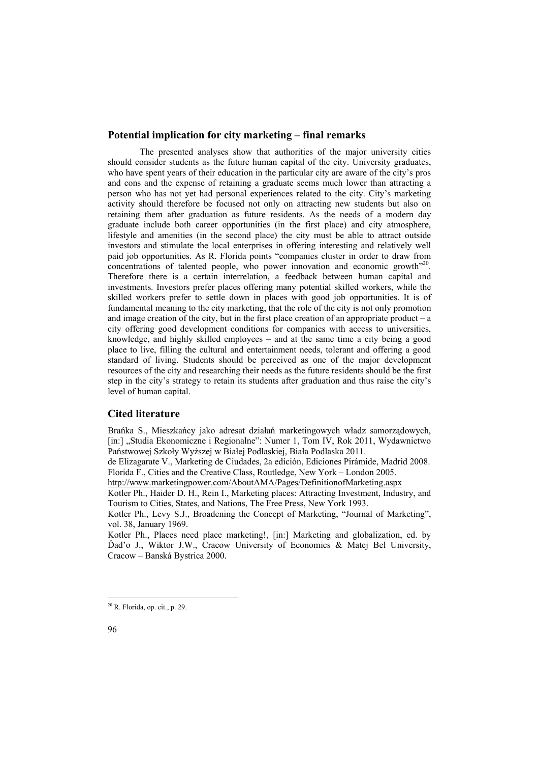### **Potential implication for city marketing – final remarks**

The presented analyses show that authorities of the major university cities should consider students as the future human capital of the city. University graduates, who have spent years of their education in the particular city are aware of the city's pros and cons and the expense of retaining a graduate seems much lower than attracting a person who has not yet had personal experiences related to the city. City's marketing activity should therefore be focused not only on attracting new students but also on retaining them after graduation as future residents. As the needs of a modern day graduate include both career opportunities (in the first place) and city atmosphere, lifestyle and amenities (in the second place) the city must be able to attract outside investors and stimulate the local enterprises in offering interesting and relatively well paid job opportunities. As R. Florida points "companies cluster in order to draw from concentrations of talented people, who power innovation and economic growth<sup>"20</sup>. Therefore there is a certain interrelation, a feedback between human capital and investments. Investors prefer places offering many potential skilled workers, while the skilled workers prefer to settle down in places with good job opportunities. It is of fundamental meaning to the city marketing, that the role of the city is not only promotion and image creation of the city, but in the first place creation of an appropriate product – a city offering good development conditions for companies with access to universities, knowledge, and highly skilled employees – and at the same time a city being a good place to live, filling the cultural and entertainment needs, tolerant and offering a good standard of living. Students should be perceived as one of the major development resources of the city and researching their needs as the future residents should be the first step in the city's strategy to retain its students after graduation and thus raise the city's level of human capital.

#### **Cited literature**

Brańka S., Mieszkańcy jako adresat działań marketingowych władz samorządowych, [in:] "Studia Ekonomiczne i Regionalne": Numer 1, Tom IV, Rok 2011, Wydawnictwo Państwowej Szkoły Wyższej w Białej Podlaskiej, Biała Podlaska 2011.

de Elizagarate V., Marketing de Ciudades, 2a edición, Ediciones Pirámide, Madrid 2008. Florida F., Cities and the Creative Class, Routledge, New York – London 2005.

http://www.marketingpower.com/AboutAMA/Pages/DefinitionofMarketing.aspx

Kotler Ph., Haider D. H., Rein I., Marketing places: Attracting Investment, Industry, and Tourism to Cities, States, and Nations, The Free Press, New York 1993.

Kotler Ph., Levy S.J., Broadening the Concept of Marketing, "Journal of Marketing", vol. 38, January 1969.

Kotler Ph., Places need place marketing!, [in:] Marketing and globalization, ed. by Ďad'o J., Wiktor J.W., Cracow University of Economics & Matej Bel University, Cracow – Banská Bystrica 2000.

<sup>20</sup> R. Florida, op. cit., p. 29.